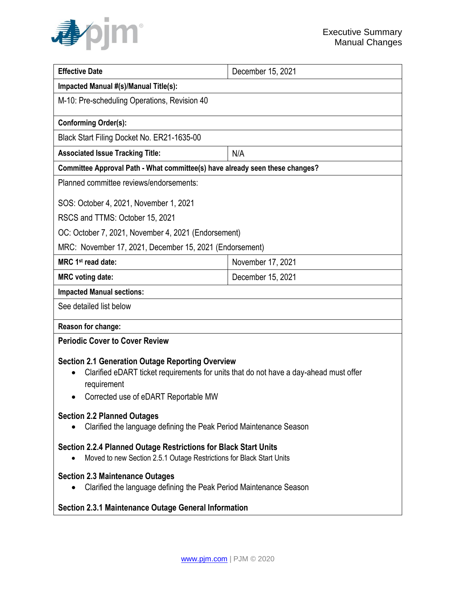

| <b>Effective Date</b>                                                                                                                                                                                   | December 15, 2021 |
|---------------------------------------------------------------------------------------------------------------------------------------------------------------------------------------------------------|-------------------|
| Impacted Manual #(s)/Manual Title(s):                                                                                                                                                                   |                   |
| M-10: Pre-scheduling Operations, Revision 40                                                                                                                                                            |                   |
| <b>Conforming Order(s):</b>                                                                                                                                                                             |                   |
| Black Start Filing Docket No. ER21-1635-00                                                                                                                                                              |                   |
| <b>Associated Issue Tracking Title:</b>                                                                                                                                                                 | N/A               |
| Committee Approval Path - What committee(s) have already seen these changes?                                                                                                                            |                   |
| Planned committee reviews/endorsements:                                                                                                                                                                 |                   |
| SOS: October 4, 2021, November 1, 2021                                                                                                                                                                  |                   |
| RSCS and TTMS: October 15, 2021                                                                                                                                                                         |                   |
| OC: October 7, 2021, November 4, 2021 (Endorsement)                                                                                                                                                     |                   |
| MRC: November 17, 2021, December 15, 2021 (Endorsement)                                                                                                                                                 |                   |
| MRC 1 <sup>st</sup> read date:                                                                                                                                                                          | November 17, 2021 |
| <b>MRC voting date:</b>                                                                                                                                                                                 | December 15, 2021 |
| <b>Impacted Manual sections:</b>                                                                                                                                                                        |                   |
| See detailed list below                                                                                                                                                                                 |                   |
| Reason for change:                                                                                                                                                                                      |                   |
| <b>Periodic Cover to Cover Review</b>                                                                                                                                                                   |                   |
| <b>Section 2.1 Generation Outage Reporting Overview</b><br>Clarified eDART ticket requirements for units that do not have a day-ahead must offer<br>requirement<br>Corrected use of eDART Reportable MW |                   |
| <b>Section 2.2 Planned Outages</b><br>Clarified the language defining the Peak Period Maintenance Season                                                                                                |                   |
| Section 2.2.4 Planned Outage Restrictions for Black Start Units<br>Moved to new Section 2.5.1 Outage Restrictions for Black Start Units                                                                 |                   |
| <b>Section 2.3 Maintenance Outages</b><br>Clarified the language defining the Peak Period Maintenance Season                                                                                            |                   |
| <b>Section 2.3.1 Maintenance Outage General Information</b>                                                                                                                                             |                   |